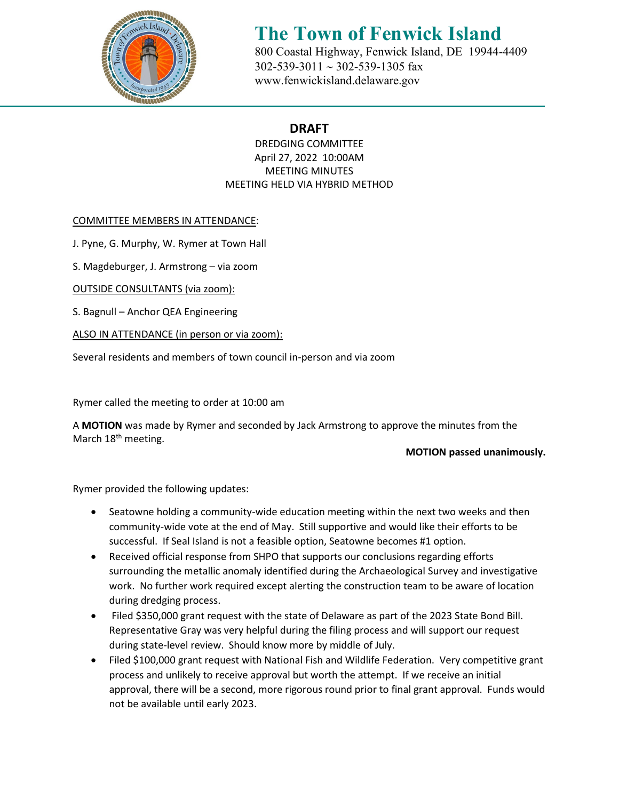

# **The Town of Fenwick Island** 800 Coastal Highway, Fenwick Island, DE 19944-4409

 302-539-3011 ∼ 302-539-1305 fax [www.fenwickisland.delaware.gov](http://www.fenwickisland.delaware.gov/) 

### **DRAFT**

DREDGING COMMITTEE April 27, 2022 10:00AM MEETING MINUTES MEETING HELD VIA HYBRID METHOD

COMMITTEE MEMBERS IN ATTENDANCE:

J. Pyne, G. Murphy, W. Rymer at Town Hall

S. Magdeburger, J. Armstrong – via zoom

OUTSIDE CONSULTANTS (via zoom):

S. Bagnull – Anchor QEA Engineering

ALSO IN ATTENDANCE (in person or via zoom):

Several residents and members of town council in-person and via zoom

Rymer called the meeting to order at 10:00 am

A **MOTION** was made by Rymer and seconded by Jack Armstrong to approve the minutes from the March 18<sup>th</sup> meeting.

#### **MOTION passed unanimously.**

Rymer provided the following updates:

- Seatowne holding a community-wide education meeting within the next two weeks and then community-wide vote at the end of May. Still supportive and would like their efforts to be successful. If Seal Island is not a feasible option, Seatowne becomes #1 option.
- Received official response from SHPO that supports our conclusions regarding efforts surrounding the metallic anomaly identified during the Archaeological Survey and investigative work. No further work required except alerting the construction team to be aware of location during dredging process.
- Filed \$350,000 grant request with the state of Delaware as part of the 2023 State Bond Bill. Representative Gray was very helpful during the filing process and will support our request during state-level review. Should know more by middle of July.
- Filed \$100,000 grant request with National Fish and Wildlife Federation. Very competitive grant process and unlikely to receive approval but worth the attempt. If we receive an initial approval, there will be a second, more rigorous round prior to final grant approval. Funds would not be available until early 2023.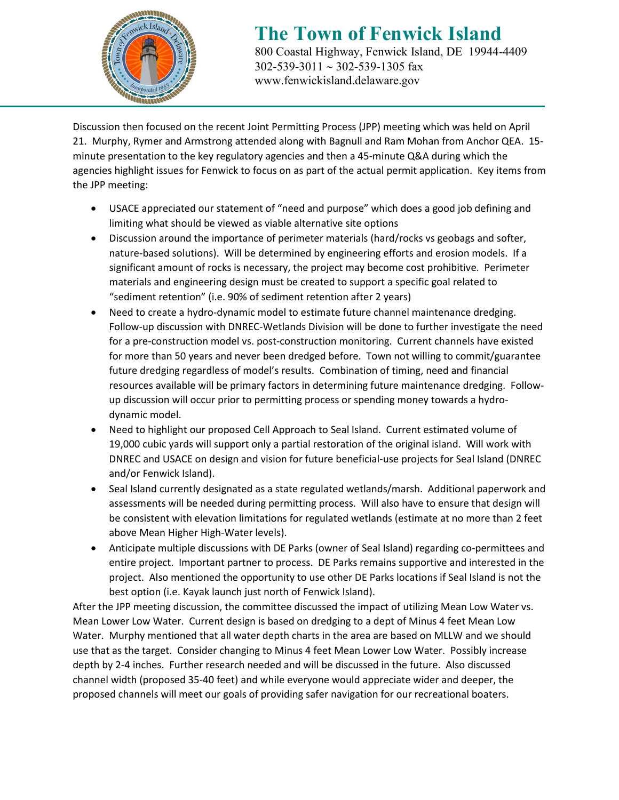

# **The Town of Fenwick Island** 800 Coastal Highway, Fenwick Island, DE 19944-4409

 302-539-3011 ∼ 302-539-1305 fax [www.fenwickisland.delaware.gov](http://www.fenwickisland.delaware.gov/)

Discussion then focused on the recent Joint Permitting Process (JPP) meeting which was held on April 21. Murphy, Rymer and Armstrong attended along with Bagnull and Ram Mohan from Anchor QEA. 15 minute presentation to the key regulatory agencies and then a 45-minute Q&A during which the agencies highlight issues for Fenwick to focus on as part of the actual permit application. Key items from the JPP meeting:

- USACE appreciated our statement of "need and purpose" which does a good job defining and limiting what should be viewed as viable alternative site options
- Discussion around the importance of perimeter materials (hard/rocks vs geobags and softer, nature-based solutions). Will be determined by engineering efforts and erosion models. If a significant amount of rocks is necessary, the project may become cost prohibitive. Perimeter materials and engineering design must be created to support a specific goal related to "sediment retention" (i.e. 90% of sediment retention after 2 years)
- Need to create a hydro-dynamic model to estimate future channel maintenance dredging. Follow-up discussion with DNREC-Wetlands Division will be done to further investigate the need for a pre-construction model vs. post-construction monitoring. Current channels have existed for more than 50 years and never been dredged before. Town not willing to commit/guarantee future dredging regardless of model's results. Combination of timing, need and financial resources available will be primary factors in determining future maintenance dredging. Followup discussion will occur prior to permitting process or spending money towards a hydrodynamic model.
- Need to highlight our proposed Cell Approach to Seal Island. Current estimated volume of 19,000 cubic yards will support only a partial restoration of the original island. Will work with DNREC and USACE on design and vision for future beneficial-use projects for Seal Island (DNREC and/or Fenwick Island).
- Seal Island currently designated as a state regulated wetlands/marsh. Additional paperwork and assessments will be needed during permitting process. Will also have to ensure that design will be consistent with elevation limitations for regulated wetlands (estimate at no more than 2 feet above Mean Higher High-Water levels).
- Anticipate multiple discussions with DE Parks (owner of Seal Island) regarding co-permittees and entire project. Important partner to process. DE Parks remains supportive and interested in the project. Also mentioned the opportunity to use other DE Parks locations if Seal Island is not the best option (i.e. Kayak launch just north of Fenwick Island).

After the JPP meeting discussion, the committee discussed the impact of utilizing Mean Low Water vs. Mean Lower Low Water. Current design is based on dredging to a dept of Minus 4 feet Mean Low Water. Murphy mentioned that all water depth charts in the area are based on MLLW and we should use that as the target. Consider changing to Minus 4 feet Mean Lower Low Water. Possibly increase depth by 2-4 inches. Further research needed and will be discussed in the future. Also discussed channel width (proposed 35-40 feet) and while everyone would appreciate wider and deeper, the proposed channels will meet our goals of providing safer navigation for our recreational boaters.